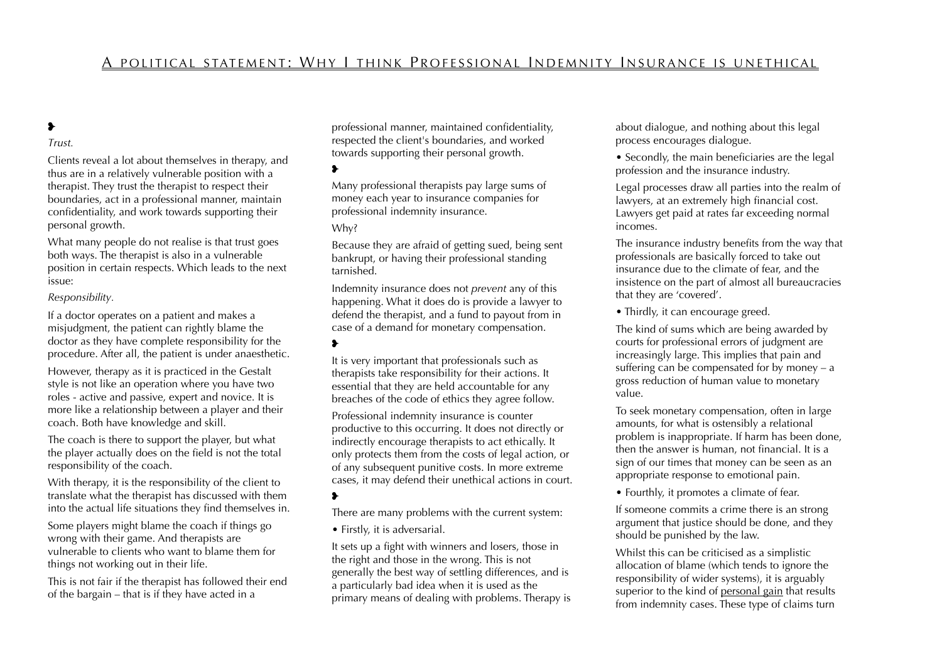# A POLITICAL STATEMENT: WHY I THINK PROFESSIONAL INDEMNITY INSURANCE IS UNETHICAL

### ❥

#### *Trust.*

Clients reveal a lot about themselves in therapy, and thus are in a relatively vulnerable position with a therapist. They trust the therapist to respect their boundaries, act in a professional manner, maintain confidentiality, and work towards supporting their personal growth.

What many people do not realise is that trust goes both ways. The therapist is also in a vulnerable position in certain respects. Which leads to the next issue:

#### *Responsibility.*

If a doctor operates on a patient and makes a misjudgment, the patient can rightly blame the doctor as they have complete responsibility for the procedure. After all, the patient is under anaesthetic.

However, therapy as it is practiced in the Gestalt style is not like an operation where you have two roles - active and passive, expert and novice. It is more like a relationship between a player and their coach. Both have knowledge and skill.

The coach is there to support the player, but what the player actually does on the field is not the total responsibility of the coach.

With therapy, it is the responsibility of the client to translate what the therapist has discussed with them into the actual life situations they find themselves in.

Some players might blame the coach if things go wrong with their game. And therapists are vulnerable to clients who want to blame them for things not working out in their life.

This is not fair if the therapist has followed their end of the bargain – that is if they have acted in a

professional manner, maintained confidentiality, respected the client's boundaries, and worked towards supporting their personal growth.

#### ❥

Many professional therapists pay large sums of money each year to insurance companies for professional indemnity insurance.

#### Why?

Because they are afraid of getting sued, being sent bankrupt, or having their professional standing tarnished.

Indemnity insurance does not *prevent* any of this happening. What it does do is provide a lawyer to defend the therapist, and a fund to payout from in case of a demand for monetary compensation.

#### ❥

It is very important that professionals such as therapists take responsibility for their actions. It essential that they are held accountable for any breaches of the code of ethics they agree follow.

Professional indemnity insurance is counter productive to this occurring. It does not directly or indirectly encourage therapists to act ethically. It only protects them from the costs of legal action, or of any subsequent punitive costs. In more extreme cases, it may defend their unethical actions in court.

#### ❥

There are many problems with the current system:

• Firstly, it is adversarial.

It sets up a fight with winners and losers, those in the right and those in the wrong. This is not generally the best way of settling differences, and is a particularly bad idea when it is used as the primary means of dealing with problems. Therapy is about dialogue, and nothing about this legal process encourages dialogue.

• Secondly, the main beneficiaries are the legal profession and the insurance industry.

Legal processes draw all parties into the realm of lawyers, at an extremely high financial cost. Lawyers get paid at rates far exceeding normal incomes.

The insurance industry benefits from the way that professionals are basically forced to take out insurance due to the climate of fear, and the insistence on the part of almost all bureaucracies that they are 'covered'.

• Thirdly, it can encourage greed.

The kind of sums which are being awarded by courts for professional errors of judgment are increasingly large. This implies that pain and suffering can be compensated for by money – a gross reduction of human value to monetary value.

To seek monetary compensation, often in large amounts, for what is ostensibly a relational problem is inappropriate. If harm has been done, then the answer is human, not financial. It is a sign of our times that money can be seen as an appropriate response to emotional pain.

• Fourthly, it promotes a climate of fear.

If someone commits a crime there is an strong argument that justice should be done, and they should be punished by the law.

Whilst this can be criticised as a simplistic allocation of blame (which tends to ignore the responsibility of wider systems), it is arguably superior to the kind of personal gain that results from indemnity cases. These type of claims turn